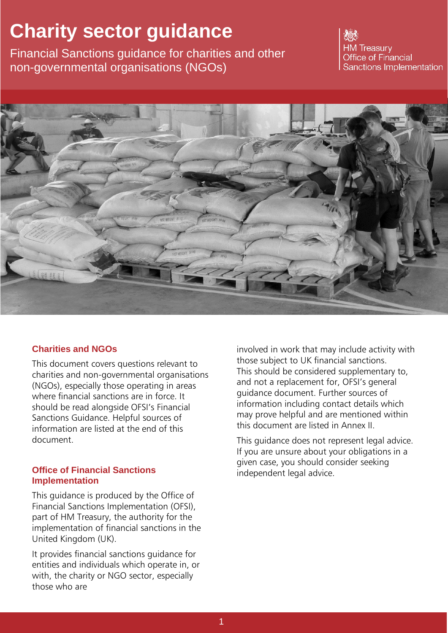# **Charity sector guidance**

Financial Sanctions guidance for charities and other non-governmental organisations (NGOs)

**HM Treasury Office of Financial** Sanctions Implementation



## **Charities and NGOs**

This document covers questions relevant to charities and non-governmental organisations (NGOs), especially those operating in areas where financial sanctions are in force. It should be read alongside OFSI's Financial Sanctions Guidance. Helpful sources of information are listed at the end of this document.

#### **Office of Financial Sanctions Implementation**

This guidance is produced by the Office of Financial Sanctions Implementation (OFSI), part of HM Treasury, the authority for the implementation of financial sanctions in the United Kingdom (UK).

It provides financial sanctions guidance for entities and individuals which operate in, or with, the charity or NGO sector, especially those who are

involved in work that may include activity with those subject to UK financial sanctions. This should be considered supplementary to, and not a replacement for, OFSI's general guidance document. Further sources of information including contact details which may prove helpful and are mentioned within this document are listed in Annex II.

This guidance does not represent legal advice. If you are unsure about your obligations in a given case, you should consider seeking independent legal advice.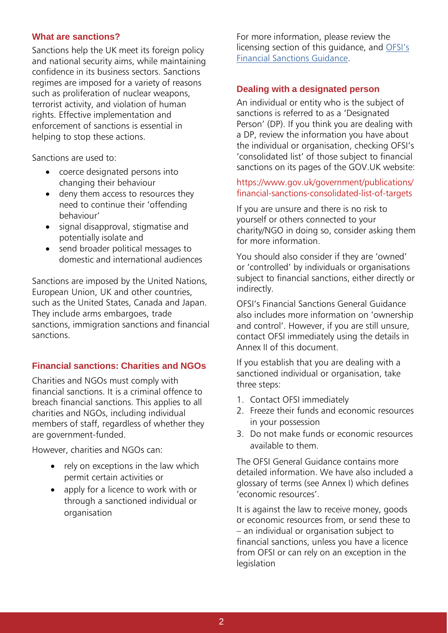## **What are sanctions?**

Sanctions help the UK meet its foreign policy and national security aims, while maintaining confidence in its business sectors. Sanctions regimes are imposed for a variety of reasons such as proliferation of nuclear weapons, terrorist activity, and violation of human rights. Effective implementation and enforcement of sanctions is essential in helping to stop these actions.

Sanctions are used to:

- coerce designated persons into changing their behaviour
- deny them access to resources they need to continue their 'offending behaviour'
- signal disapproval, stigmatise and potentially isolate and
- send broader political messages to domestic and international audiences

Sanctions are imposed by the United Nations, European Union, UK and other countries, such as the United States, Canada and Japan. They include arms embargoes, trade sanctions, immigration sanctions and financial sanctions.

# **Financial sanctions: Charities and NGOs**

Charities and NGOs must comply with financial sanctions. It is a criminal offence to breach financial sanctions. This applies to all charities and NGOs, including individual members of staff, regardless of whether they are government-funded.

However, charities and NGOs can:

- rely on exceptions in the law which permit certain activities or
- apply for a licence to work with or through a sanctioned individual or organisation

For more information, please review the licensing section of this guidance, and [OFSI's](https://www.gov.uk/government/publications/financial-sanctions-faqs) Financial [Sanctions Guidance.](https://www.gov.uk/government/publications/financial-sanctions-faqs)

### **Dealing with a designated person**

An individual or entity who is the subject of sanctions is referred to as a 'Designated Person' (DP). If you think you are dealing with a DP, review the information you have about the individual or organisation, checking OFSI's 'consolidated list' of those subject to financial sanctions on its pages of the GOV.UK website:

## https[://www.gov.uk/government/publications/](http://www.gov.uk/government/publications/) financial-sanctions-consolidated-list-of-targets

If you are unsure and there is no risk to yourself or others connected to your charity/NGO in doing so, consider asking them for more information.

You should also consider if they are 'owned' or 'controlled' by individuals or organisations subject to financial sanctions, either directly or indirectly.

OFSI's Financial Sanctions General Guidance also includes more information on 'ownership and control'. However, if you are still unsure, contact OFSI immediately using the details in Annex II of this document.

If you establish that you are dealing with a sanctioned individual or organisation, take three steps:

- 1. Contact OFSI immediately
- 2. Freeze their funds and economic resources in your possession
- 3. Do not make funds or economic resources available to them.

The OFSI General Guidance contains more detailed information. We have also included a glossary of terms (see Annex I) which defines 'economic resources'.

It is against the law to receive money, goods or economic resources from, or send these to – an individual or organisation subject to financial sanctions, unless you have a licence from OFSI or can rely on an exception in the legislation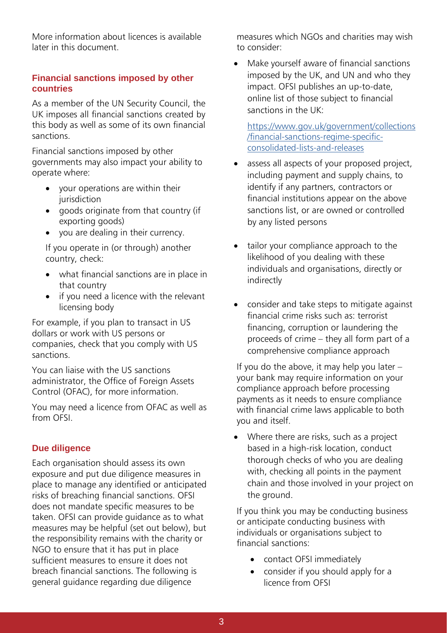More information about licences is available later in this document.

## **Financial sanctions imposed by other countries**

As a member of the UN Security Council, the UK imposes all financial sanctions created by this body as well as some of its own financial sanctions.

Financial sanctions imposed by other governments may also impact your ability to operate where:

- your operations are within their jurisdiction
- goods originate from that country (if exporting goods)
- you are dealing in their currency.

If you operate in (or through) another country, check:

- what financial sanctions are in place in that country
- if you need a licence with the relevant licensing body

For example, if you plan to transact in US dollars or work with US persons or companies, check that you comply with US sanctions.

You can liaise with the US sanctions administrator, the Office of Foreign Assets Control (OFAC), for more information.

You may need a licence from OFAC as well as from OFSI.

# **Due diligence**

Each organisation should assess its own exposure and put due diligence measures in place to manage any identified or anticipated risks of breaching financial sanctions. OFSI does not mandate specific measures to be taken. OFSI can provide guidance as to what measures may be helpful (set out below), but the responsibility remains with the charity or NGO to ensure that it has put in place sufficient measures to ensure it does not breach financial sanctions. The following is general guidance regarding due diligence

measures which NGOs and charities may wish to consider:

• Make yourself aware of financial sanctions imposed by the UK, and UN and who they impact. OFSI publishes an up-to-date, online list of those subject to financial sanctions in the UK:

[https://www.gov.uk/government/collections](https://www.gov.uk/government/collections/financial-sanctions-regime-specific-consolidated-lists-and-releases) [/financial-sanctions-regime-specific](https://www.gov.uk/government/collections/financial-sanctions-regime-specific-consolidated-lists-and-releases)[consolidated-lists-and-releases](https://www.gov.uk/government/collections/financial-sanctions-regime-specific-consolidated-lists-and-releases)

- assess all aspects of your proposed project, including payment and supply chains, to identify if any partners, contractors or financial institutions appear on the above sanctions list, or are owned or controlled by any listed persons
- tailor your compliance approach to the likelihood of you dealing with these individuals and organisations, directly or indirectly
- consider and take steps to mitigate against financial crime risks such as: terrorist financing, corruption or laundering the proceeds of crime – they all form part of a comprehensive compliance approach

If you do the above, it may help you later  $$ your bank may require information on your compliance approach before processing payments as it needs to ensure compliance with financial crime laws applicable to both you and itself.

• Where there are risks, such as a project based in a high-risk location, conduct thorough checks of who you are dealing with, checking all points in the payment chain and those involved in your project on the ground.

If you think you may be conducting business or anticipate conducting business with individuals or organisations subject to financial sanctions:

- contact OFSI immediately
- consider if you should apply for a licence from OFSI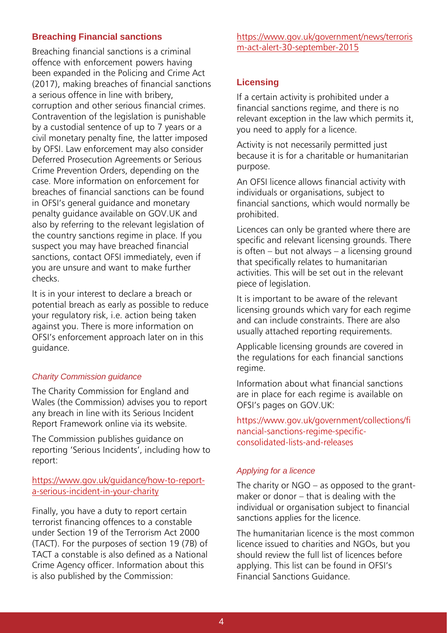## **Breaching Financial sanctions**

Breaching financial sanctions is a criminal offence with enforcement powers having been expanded in the Policing and Crime Act (2017), making breaches of financial sanctions a serious offence in line with bribery, corruption and other serious financial crimes. Contravention of the legislation is punishable by a custodial sentence of up to 7 years or a civil monetary penalty fine, the latter imposed by OFSI. Law enforcement may also consider Deferred Prosecution Agreements or Serious Crime Prevention Orders, depending on the case. More information on enforcement for breaches of financial sanctions can be found in OFSI's general guidance and monetary penalty guidance available on GOV.UK and also by referring to the relevant legislation of the country sanctions regime in place. If you suspect you may have breached financial sanctions, contact OFSI immediately, even if you are unsure and want to make further checks.

It is in your interest to declare a breach or potential breach as early as possible to reduce your regulatory risk, i.e. action being taken against you. There is more information on OFSI's enforcement approach later on in this guidance.

## *Charity Commission guidance*

The Charity Commission for England and Wales (the Commission) advises you to report any breach in line with its Serious Incident Report Framework online via its website.

The Commission publishes guidance on reporting 'Serious Incidents', including how to report:

## [https://www.gov.uk/guidance/how-to-report](https://www.gov.uk/guidance/how-to-report-a-serious-incident-in-your-charity)[a-serious-incident-in-your-charity](https://www.gov.uk/guidance/how-to-report-a-serious-incident-in-your-charity)

Finally, you have a duty to report certain terrorist financing offences to a constable under Section 19 of the Terrorism Act 2000 (TACT). For the purposes of section 19 (7B) of TACT a constable is also defined as a National Crime Agency officer. Information about this is also published by the Commission:

[https://www.gov.uk/government/news/terroris](https://www.gov.uk/government/news/terrorism-act-alert-30-september-2015) [m-act-alert-30-september-2015](https://www.gov.uk/government/news/terrorism-act-alert-30-september-2015)

# **Licensing**

If a certain activity is prohibited under a financial sanctions regime, and there is no relevant exception in the law which permits it, you need to apply for a licence.

Activity is not necessarily permitted just because it is for a charitable or humanitarian purpose.

An OFSI licence allows financial activity with individuals or organisations, subject to financial sanctions, which would normally be prohibited.

Licences can only be granted where there are specific and relevant licensing grounds. There is often – but not always – a licensing ground that specifically relates to humanitarian activities. This will be set out in the relevant piece of legislation.

It is important to be aware of the relevant licensing grounds which vary for each regime and can include constraints. There are also usually attached reporting requirements.

Applicable licensing grounds are covered in the regulations for each financial sanctions regime.

Information about what financial sanctions are in place for each regime is available on OFSI's pages on GOV.UK:

https[://www.gov.uk/government/collections/fi](http://www.gov.uk/government/collections/fi) nancial-sanctions-regime-specificconsolidated-lists-and-releases

## *Applying for a licence*

The charity or NGO – as opposed to the grantmaker or donor – that is dealing with the individual or organisation subject to financial sanctions applies for the licence.

The humanitarian licence is the most common licence issued to charities and NGOs, but you should review the full list of licences before applying. This list can be found in OFSI's Financial Sanctions Guidance.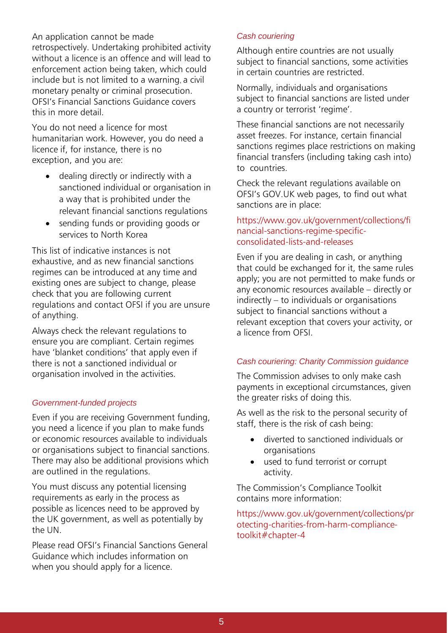An application cannot be made retrospectively. Undertaking prohibited activity without a licence is an offence and will lead to enforcement action being taken, which could include but is not limited to a warning, a civil monetary penalty or criminal prosecution. OFSI's Financial Sanctions Guidance covers this in more detail.

You do not need a licence for most humanitarian work. However, you do need a licence if, for instance, there is no exception, and you are:

- dealing directly or indirectly with a sanctioned individual or organisation in a way that is prohibited under the relevant financial sanctions regulations
- sending funds or providing goods or services to North Korea

This list of indicative instances is not exhaustive, and as new financial sanctions regimes can be introduced at any time and existing ones are subject to change, please check that you are following current regulations and contact OFSI if you are unsure of anything.

Always check the relevant regulations to ensure you are compliant. Certain regimes have 'blanket conditions' that apply even if there is not a sanctioned individual or organisation involved in the activities.

## *Government-funded projects*

Even if you are receiving Government funding, you need a licence if you plan to make funds or economic resources available to individuals or organisations subject to financial sanctions. There may also be additional provisions which are outlined in the regulations.

You must discuss any potential licensing requirements as early in the process as possible as licences need to be approved by the UK government, as well as potentially by the UN.

Please read OFSI's Financial Sanctions General Guidance which includes information on when you should apply for a licence.

#### *Cash couriering*

Although entire countries are not usually subject to financial sanctions, some activities in certain countries are restricted.

Normally, individuals and organisations subject to financial sanctions are listed under a country or terrorist 'regime'.

These financial sanctions are not necessarily asset freezes. For instance, certain financial sanctions regimes place restrictions on making financial transfers (including taking cash into) to countries.

Check the relevant regulations available on OFSI's GOV.UK web pages, to find out what sanctions are in place:

## [https://www.gov.uk/government/collections/fi](https://www.gov.uk/government/collections/financial-sanctions-regime-specific-consolidated-lists-and-releases) [nancial-sanctions-regime-specific](https://www.gov.uk/government/collections/financial-sanctions-regime-specific-consolidated-lists-and-releases)[consolidated-lists-and-releases](https://www.gov.uk/government/collections/financial-sanctions-regime-specific-consolidated-lists-and-releases)

Even if you are dealing in cash, or anything that could be exchanged for it, the same rules apply; you are not permitted to make funds or any economic resources available – directly or indirectly – to individuals or organisations subject to financial sanctions without a relevant exception that covers your activity, or a licence from OFSI.

## *Cash couriering: Charity Commission guidance*

The Commission advises to only make cash payments in exceptional circumstances, given the greater risks of doing this.

As well as the risk to the personal security of staff, there is the risk of cash being:

- diverted to sanctioned individuals or organisations
- used to fund terrorist or corrupt activity.

The Commission's Compliance Toolkit contains more information:

https[://www.gov.uk/government/collections/pr](http://www.gov.uk/government/collections/pr) otecting-charities-from-harm-compliancetoolkit#chapter-4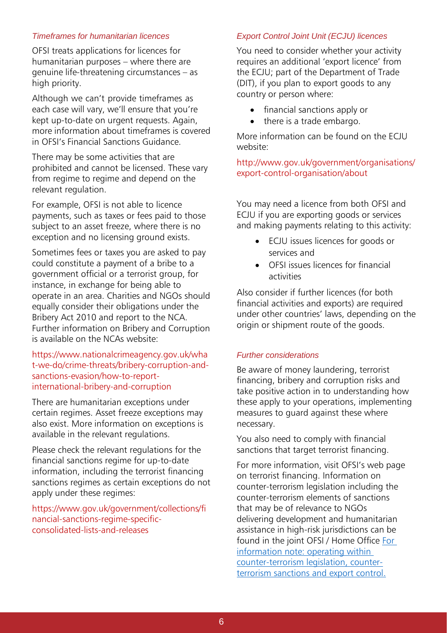#### *Timeframes for humanitarian licences*

OFSI treats applications for licences for humanitarian purposes – where there are genuine life-threatening circumstances – as high priority.

Although we can't provide timeframes as each case will vary, we'll ensure that you're kept up-to-date on urgent requests. Again, more information about timeframes is covered in OFSI's Financial Sanctions Guidance.

There may be some activities that are prohibited and cannot be licensed. These vary from regime to regime and depend on the relevant regulation.

For example, OFSI is not able to licence payments, such as taxes or fees paid to those subject to an asset freeze, where there is no exception and no licensing ground exists.

Sometimes fees or taxes you are asked to pay could constitute a payment of a bribe to a government official or a terrorist group, for instance, in exchange for being able to operate in an area. Charities and NGOs should equally consider their obligations under the Bribery Act 2010 and report to the NCA. Further information on Bribery and Corruption is available on the NCAs website:

https:/[/www.nationalcrimeagency.gov.uk/wha](http://www.nationalcrimeagency.gov.uk/wha) t-we-do/crime-threats/bribery-corruption-andsanctions-evasion/how-to-reportinternational-bribery-and-corruption

There are humanitarian exceptions under certain regimes. Asset freeze exceptions may also exist. More information on exceptions is available in the relevant regulations.

Please check the relevant regulations for the financial sanctions regime for up-to-date information, including the terrorist financing sanctions regimes as certain exceptions do not apply under these regimes:

https[://www.gov.uk/government/collections/fi](http://www.gov.uk/government/collections/fi) nancial-sanctions-regime-specificconsolidated-lists-and-releases

#### *Export Control Joint Unit (ECJU) licences*

You need to consider whether your activity requires an additional 'export licence' from the ECJU; part of the Department of Trade (DIT), if you plan to export goods to any country or person where:

- financial sanctions apply or
- there is a trade embargo.

More information can be found on the ECJU website:

<http://www.gov.uk/government/organisations/> export-control-organisation/about

You may need a licence from both OFSI and ECJU if you are exporting goods or services and making payments relating to this activity:

- ECJU issues licences for goods or services and
- OFSI issues licences for financial activities

Also consider if further licences (for both financial activities and exports) are required under other countries' laws, depending on the origin or shipment route of the goods.

#### *Further considerations*

Be aware of money laundering, terrorist financing, bribery and corruption risks and take positive action in to understanding how these apply to your operations, implementing measures to guard against these where necessary.

You also need to comply with financial sanctions that target terrorist financing.

For more information, visit OFSI's web page on terrorist financing. Information on counter-terrorism legislation including the counter-terrorism elements of sanctions that may be of relevance to NGOs delivering development and humanitarian assistance in high-risk jurisdictions can be found in the joint OFSI / Home Office [For](https://www.gov.uk/government/publications/operating-within-counter-terrorism-legislation/for-information-note-operating-within-counter-terrorism-legislation#proscription)  [information note: operating within](https://www.gov.uk/government/publications/operating-within-counter-terrorism-legislation/for-information-note-operating-within-counter-terrorism-legislation#proscription)  [counter-terrorism legislation, counter](https://www.gov.uk/government/publications/operating-within-counter-terrorism-legislation/for-information-note-operating-within-counter-terrorism-legislation#proscription)[terrorism sanctions and export control.](https://www.gov.uk/government/publications/operating-within-counter-terrorism-legislation/for-information-note-operating-within-counter-terrorism-legislation#proscription)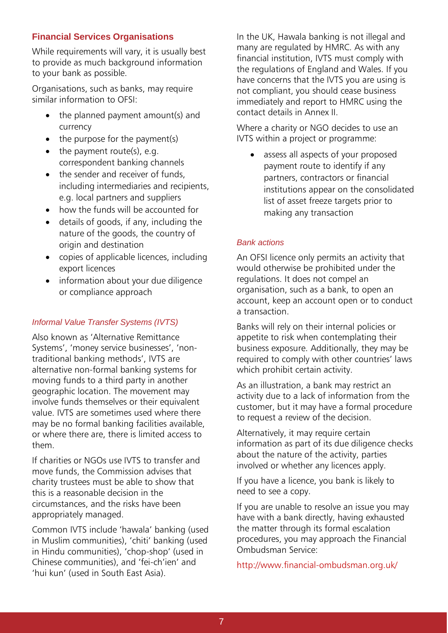## **Financial Services Organisations**

While requirements will vary, it is usually best to provide as much background information to your bank as possible.

Organisations, such as banks, may require similar information to OFSI:

- the planned payment amount(s) and currency
- $\bullet$  the purpose for the payment(s)
- $\bullet$  the payment route(s), e.g. correspondent banking channels
- the sender and receiver of funds, including intermediaries and recipients, e.g. local partners and suppliers
- how the funds will be accounted for
- details of goods, if any, including the nature of the goods, the country of origin and destination
- copies of applicable licences, including export licences
- information about your due diligence or compliance approach

# *Informal Value Transfer Systems (IVTS)*

Also known as 'Alternative Remittance Systems', 'money service businesses', 'nontraditional banking methods', IVTS are alternative non-formal banking systems for moving funds to a third party in another geographic location. The movement may involve funds themselves or their equivalent value. IVTS are sometimes used where there may be no formal banking facilities available, or where there are, there is limited access to them.

If charities or NGOs use IVTS to transfer and move funds, the Commission advises that charity trustees must be able to show that this is a reasonable decision in the circumstances, and the risks have been appropriately managed.

Common IVTS include 'hawala' banking (used in Muslim communities), 'chiti' banking (used in Hindu communities), 'chop-shop' (used in Chinese communities), and 'fei-ch'ien' and 'hui kun' (used in South East Asia).

In the UK, Hawala banking is not illegal and many are regulated by HMRC. As with any financial institution, IVTS must comply with the regulations of England and Wales. If you have concerns that the IVTS you are using is not compliant, you should cease business immediately and report to HMRC using the contact details in Annex II.

Where a charity or NGO decides to use an IVTS within a project or programme:

• assess all aspects of your proposed payment route to identify if any partners, contractors or financial institutions appear on the consolidated list of asset freeze targets prior to making any transaction

## *Bank actions*

An OFSI licence only permits an activity that would otherwise be prohibited under the regulations. It does not compel an organisation, such as a bank, to open an account, keep an account open or to conduct a transaction.

Banks will rely on their internal policies or appetite to risk when contemplating their business exposure. Additionally, they may be required to comply with other countries' laws which prohibit certain activity.

As an illustration, a bank may restrict an activity due to a lack of information from the customer, but it may have a formal procedure to request a review of the decision.

Alternatively, it may require certain information as part of its due diligence checks about the nature of the activity, parties involved or whether any licences apply.

If you have a licence, you bank is likely to need to see a copy.

If you are unable to resolve an issue you may have with a bank directly, having exhausted the matter through its formal escalation procedures, you may approach the Financial Ombudsman Service:

<http://www.financial-ombudsman.org.uk/>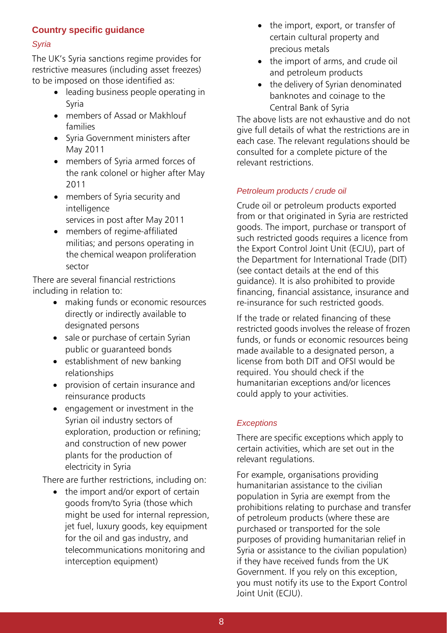# **Country specific guidance**

#### *Syria*

The UK's Syria sanctions regime provides for restrictive measures (including asset freezes) to be imposed on those identified as:

- leading business people operating in Syria
- members of Assad or Makhlouf families
- Syria Government ministers after May 2011
- members of Syria armed forces of the rank colonel or higher after May 2011
- members of Syria security and intelligence services in post after May 2011
- members of regime-affiliated militias; and persons operating in the chemical weapon proliferation sector

There are several financial restrictions including in relation to:

- making funds or economic resources directly or indirectly available to designated persons
- sale or purchase of certain Syrian public or guaranteed bonds
- establishment of new banking relationships
- provision of certain insurance and reinsurance products
- engagement or investment in the Syrian oil industry sectors of exploration, production or refining; and construction of new power plants for the production of electricity in Syria

There are further restrictions, including on:

• the import and/or export of certain goods from/to Syria (those which might be used for internal repression, jet fuel, luxury goods, key equipment for the oil and gas industry, and telecommunications monitoring and interception equipment)

- the import, export, or transfer of certain cultural property and precious metals
- the import of arms, and crude oil and petroleum products
- the delivery of Syrian denominated banknotes and coinage to the Central Bank of Syria

The above lists are not exhaustive and do not give full details of what the restrictions are in each case. The relevant regulations should be consulted for a complete picture of the relevant restrictions.

## *Petroleum products / crude oil*

Crude oil or petroleum products exported from or that originated in Syria are restricted goods. The import, purchase or transport of such restricted goods requires a licence from the Export Control Joint Unit (ECJU), part of the Department for International Trade (DIT) (see contact details at the end of this guidance). It is also prohibited to provide financing, financial assistance, insurance and re-insurance for such restricted goods.

If the trade or related financing of these restricted goods involves the release of frozen funds, or funds or economic resources being made available to a designated person, a license from both DIT and OFSI would be required. You should check if the humanitarian exceptions and/or licences could apply to your activities.

## *Exceptions*

There are specific exceptions which apply to certain activities, which are set out in the relevant regulations.

For example, organisations providing humanitarian assistance to the civilian population in Syria are exempt from the prohibitions relating to purchase and transfer of petroleum products (where these are purchased or transported for the sole purposes of providing humanitarian relief in Syria or assistance to the civilian population) if they have received funds from the UK Government. If you rely on this exception, you must notify its use to the Export Control Joint Unit (ECJU).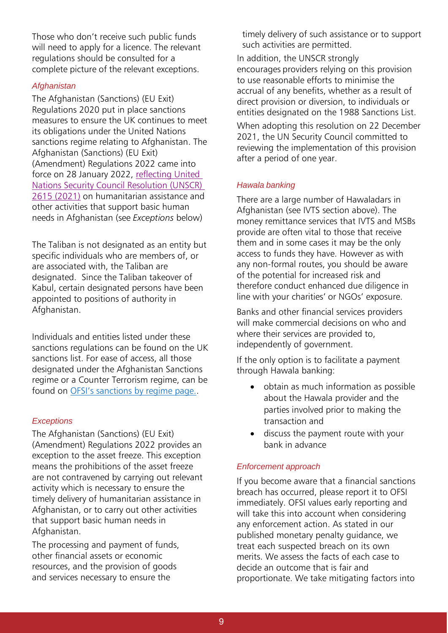Those who don't receive such public funds will need to apply for a licence. The relevant regulations should be consulted for a complete picture of the relevant exceptions.

## *Afghanistan*

The Afghanistan (Sanctions) (EU Exit) Regulations 2020 put in place sanctions measures to ensure the UK continues to meet its obligations under the United Nations sanctions regime relating to Afghanistan. The Afghanistan (Sanctions) (EU Exit) (Amendment) Regulations 2022 came into force on 28 January 2022, reflecting United [Nations Security Council Resolution \(UNSCR\)](http://unscr.com/en/resolutions/doc/2615)  [2615 \(2021\)](http://unscr.com/en/resolutions/doc/2615) on humanitarian assistance and other activities that support basic human needs in Afghanistan (see *Exceptions* below)

The Taliban is not designated as an entity but specific individuals who are members of, or are associated with, the Taliban are designated. Since the Taliban takeover of Kabul, certain designated persons have been appointed to positions of authority in Afghanistan.

Individuals and entities listed under these sanctions regulations can be found on the UK sanctions list. For ease of access, all those designated under the Afghanistan Sanctions regime or a Counter Terrorism regime, can be found on [OFSI's sanctions by regime page.](https://www.gov.uk/government/collections/financial-sanctions-regime-specific-consolidated-lists-and-releases).

## *Exceptions*

The Afghanistan (Sanctions) (EU Exit) (Amendment) Regulations 2022 provides an exception to the asset freeze. This exception means the prohibitions of the asset freeze are not contravened by carrying out relevant activity which is necessary to ensure the timely delivery of humanitarian assistance in Afghanistan, or to carry out other activities that support basic human needs in Afghanistan.

The processing and payment of funds, other financial assets or economic resources, and the provision of goods and services necessary to ensure the

timely delivery of such assistance or to support such activities are permitted.

In addition, the UNSCR strongly encourages providers relying on this provision to use reasonable efforts to minimise the accrual of any benefits, whether as a result of direct provision or diversion, to individuals or entities designated on the 1988 Sanctions List.

When adopting this resolution on 22 December 2021, the UN Security Council committed to reviewing the implementation of this provision after a period of one year.

## *Hawala banking*

There are a large number of Hawaladars in Afghanistan (see IVTS section above). The money remittance services that IVTS and MSBs provide are often vital to those that receive them and in some cases it may be the only access to funds they have. However as with any non-formal routes, you should be aware of the potential for increased risk and therefore conduct enhanced due diligence in line with your charities' or NGOs' exposure.

Banks and other financial services providers will make commercial decisions on who and where their services are provided to, independently of government.

If the only option is to facilitate a payment through Hawala banking:

- obtain as much information as possible about the Hawala provider and the parties involved prior to making the transaction and
- discuss the payment route with your bank in advance

## *Enforcement approach*

If you become aware that a financial sanctions breach has occurred, please report it to OFSI immediately. OFSI values early reporting and will take this into account when considering any enforcement action. As stated in our published monetary penalty guidance, we treat each suspected breach on its own merits. We assess the facts of each case to decide an outcome that is fair and proportionate. We take mitigating factors into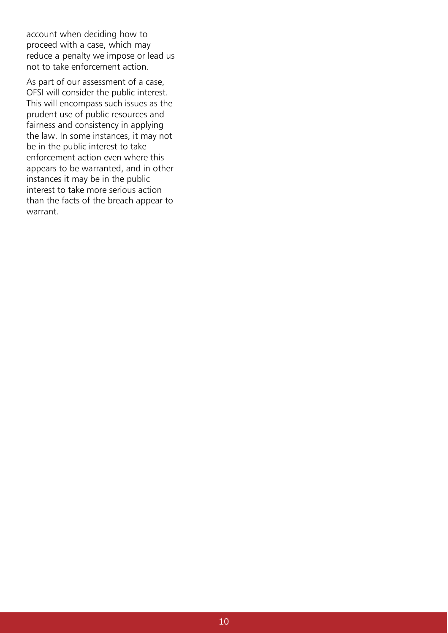account when deciding how to proceed with a case, which may reduce a penalty we impose or lead us not to take enforcement action.

As part of our assessment of a case, OFSI will consider the public interest. This will encompass such issues as the prudent use of public resources and fairness and consistency in applying the law. In some instances, it may not be in the public interest to take enforcement action even where this appears to be warranted, and in other instances it may be in the public interest to take more serious action than the facts of the breach appear to warrant.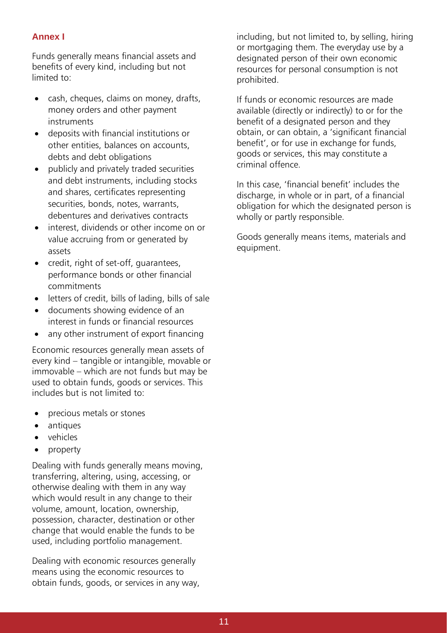# **Annex I**

Funds generally means financial assets and benefits of every kind, including but not limited to:

- cash, cheques, claims on money, drafts, money orders and other payment instruments
- deposits with financial institutions or other entities, balances on accounts, debts and debt obligations
- publicly and privately traded securities and debt instruments, including stocks and shares, certificates representing securities, bonds, notes, warrants, debentures and derivatives contracts
- interest, dividends or other income on or value accruing from or generated by assets
- credit, right of set-off, guarantees, performance bonds or other financial commitments
- letters of credit, bills of lading, bills of sale
- documents showing evidence of an interest in funds or financial resources
- any other instrument of export financing

Economic resources generally mean assets of every kind – tangible or intangible, movable or immovable – which are not funds but may be used to obtain funds, goods or services. This includes but is not limited to:

- precious metals or stones
- antiques
- vehicles
- property

Dealing with funds generally means moving, transferring, altering, using, accessing, or otherwise dealing with them in any way which would result in any change to their volume, amount, location, ownership, possession, character, destination or other change that would enable the funds to be used, including portfolio management.

Dealing with economic resources generally means using the economic resources to obtain funds, goods, or services in any way, including, but not limited to, by selling, hiring or mortgaging them. The everyday use by a designated person of their own economic resources for personal consumption is not prohibited.

If funds or economic resources are made available (directly or indirectly) to or for the benefit of a designated person and they obtain, or can obtain, a 'significant financial benefit', or for use in exchange for funds, goods or services, this may constitute a criminal offence.

In this case, 'financial benefit' includes the discharge, in whole or in part, of a financial obligation for which the designated person is wholly or partly responsible.

Goods generally means items, materials and equipment.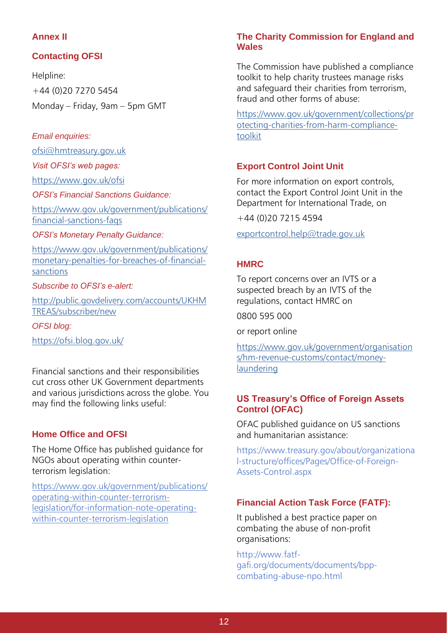## **Annex II**

# **Contacting OFSI**

Helpline: +44 (0)20 7270 5454 Monday – Friday, 9am – 5pm GMT

## *Email enquiries:*

[ofsi@hmtreasury.gov.uk](mailto:ofsi@hmtreasury.gov.uk)

*Visit OFSI's web pages:*

[https://www.gov.uk/ofsi](https://www.gov.uk/government/organisations/office-of-financial-sanctions-implementation)

*OFSI's Financial Sanctions Guidance:*

[https://www.gov.uk/government/publications/](https://www.gov.uk/government/publications/financial-sanctions-faqs) [financial-sanctions-faqs](https://www.gov.uk/government/publications/financial-sanctions-faqs)

#### *OFSI's Monetary Penalty Guidance:*

[https://www.gov.uk/government/publications/](https://www.gov.uk/government/publications/monetary-penalties-for-breaches-of-financial-sanctions) [monetary-penalties-for-breaches-of-financial](https://www.gov.uk/government/publications/monetary-penalties-for-breaches-of-financial-sanctions)[sanctions](https://www.gov.uk/government/publications/monetary-penalties-for-breaches-of-financial-sanctions)

#### *Subscribe to OFSI's e-alert:*

[http://public.govdelivery.com/accounts/UKHM](http://public.govdelivery.com/accounts/UKHMTREAS/subscriber/new) [TREAS/subscriber/new](http://public.govdelivery.com/accounts/UKHMTREAS/subscriber/new)

*OFSI blog:* <https://ofsi.blog.gov.uk/>

Financial sanctions and their responsibilities cut cross other UK Government departments and various jurisdictions across the globe. You may find the following links useful:

## **Home Office and OFSI**

The Home Office has published guidance for NGOs about operating within counterterrorism legislation:

[https://www.gov.uk/government/publications/](https://www.gov.uk/government/publications/operating-within-counter-terrorism-legislation/for-information-note-operating-within-counter-terrorism-legislation) [operating-within-counter-terrorism](https://www.gov.uk/government/publications/operating-within-counter-terrorism-legislation/for-information-note-operating-within-counter-terrorism-legislation)[legislation/for-information-note-operating](https://www.gov.uk/government/publications/operating-within-counter-terrorism-legislation/for-information-note-operating-within-counter-terrorism-legislation)[within-counter-terrorism-legislation](https://www.gov.uk/government/publications/operating-within-counter-terrorism-legislation/for-information-note-operating-within-counter-terrorism-legislation)

## **The Charity Commission for England and Wales**

The Commission have published a compliance toolkit to help charity trustees manage risks and safeguard their charities from terrorism, fraud and other forms of abuse:

[https://www.gov.uk/government/collections/pr](https://www.gov.uk/government/collections/protecting-charities-from-harm-compliance-toolkit) [otecting-charities-from-harm-compliance](https://www.gov.uk/government/collections/protecting-charities-from-harm-compliance-toolkit)[toolkit](https://www.gov.uk/government/collections/protecting-charities-from-harm-compliance-toolkit)

## **Export Control Joint Unit**

For more information on export controls, contact the Export Control Joint Unit in the Department for International Trade, on

+44 (0)20 7215 4594

[exportcontrol.help@trade.gov.uk](mailto:exportcontrol.help@trade.gov.uk)

# **HMRC**

To report concerns over an IVTS or a suspected breach by an IVTS of the regulations, contact HMRC on

0800 595 000

or report online

[https://www.gov.uk/government/organisation](https://www.gov.uk/government/organisations/hm-revenue-customs/contact/money-laundering) [s/hm-revenue-customs/contact/money](https://www.gov.uk/government/organisations/hm-revenue-customs/contact/money-laundering)[laundering](https://www.gov.uk/government/organisations/hm-revenue-customs/contact/money-laundering)

## **US Treasury's Office of Foreign Assets Control (OFAC)**

OFAC published guidance on US sanctions and humanitarian assistance:

https[://www.treasury.gov/about/organizationa](http://www.treasury.gov/about/organizationa) l-structure/offices/Pages/Office-of-Foreign-Assets-Control.aspx

# **Financial Action Task Force (FATF):**

It published a best practice paper on combating the abuse of non-profit organisations:

http://www.fatfgafi.org/documents/documents/bppcombating-abuse-npo.html